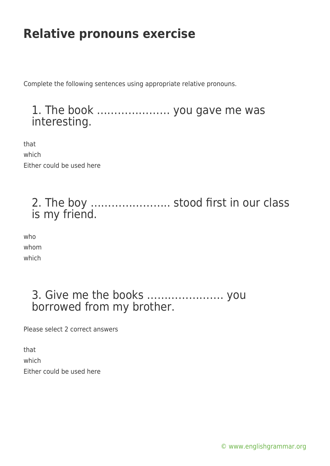Complete the following sentences using appropriate relative pronouns.

### 1. The book ………………… you gave me was interesting.

that which Either could be used here

### 2. The boy ………………….. stood first in our class is my friend.

who whom which

### 3. Give me the books …………………. you borrowed from my brother.

Please select 2 correct answers

that which Either could be used here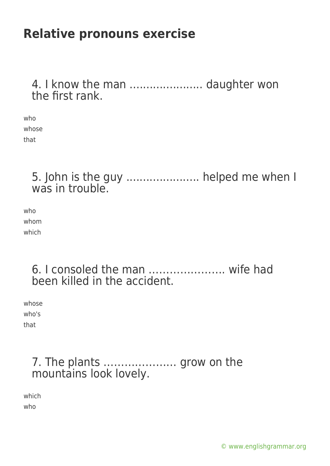4. I know the man ....................... daughter won the first rank.

who whose that

> 5. John is the guy ...................... helped me when I was in trouble.

who whom which

> 6. I consoled the man …………………. wife had been killed in the accident.

whose who's that

#### 7. The plants ………………… grow on the mountains look lovely.

which who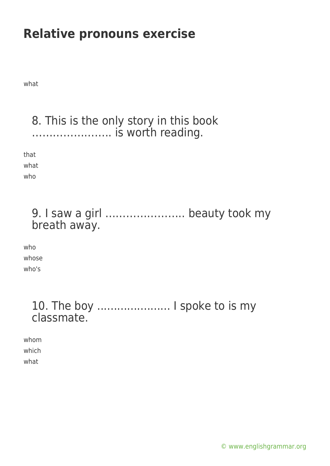what

### 8. This is the only story in this book ………………….. is worth reading.

that

what who

### 9. I saw a girl ………………….. beauty took my breath away.

who whose who's

### 10. The boy ...................... I spoke to is my classmate.

whom which what

[© www.englishgrammar.org](https://www.englishgrammar.org/)